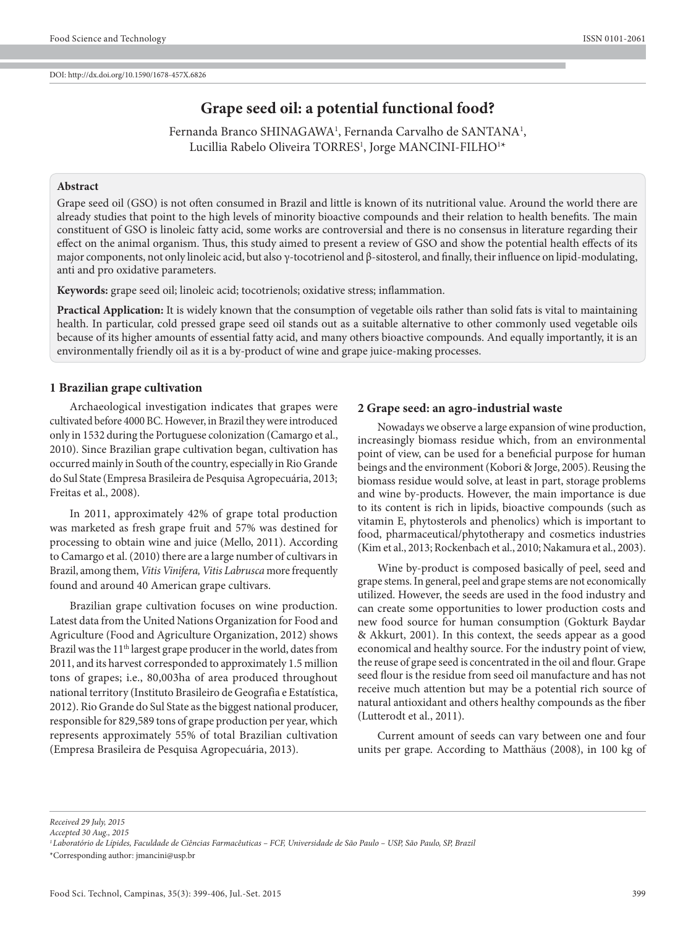# **Grape seed oil: a potential functional food?**

Fernanda Branco SHINAGAWA<sup>1</sup>, Fernanda Carvalho de SANTANA<sup>1</sup>, Lucillia Rabelo Oliveira TORRES<sup>1</sup>, Jorge MANCINI-FILHO<sup>1</sup>\*

### **Abstract**

Grape seed oil (GSO) is not often consumed in Brazil and little is known of its nutritional value. Around the world there are already studies that point to the high levels of minority bioactive compounds and their relation to health benefits. The main constituent of GSO is linoleic fatty acid, some works are controversial and there is no consensus in literature regarding their effect on the animal organism. Thus, this study aimed to present a review of GSO and show the potential health effects of its major components, not only linoleic acid, but also γ-tocotrienol and β-sitosterol, and finally, their influence on lipid-modulating, anti and pro oxidative parameters.

**Keywords:** grape seed oil; linoleic acid; tocotrienols; oxidative stress; inflammation.

**Practical Application:** It is widely known that the consumption of vegetable oils rather than solid fats is vital to maintaining health. In particular, cold pressed grape seed oil stands out as a suitable alternative to other commonly used vegetable oils because of its higher amounts of essential fatty acid, and many others bioactive compounds. And equally importantly, it is an environmentally friendly oil as it is a by-product of wine and grape juice-making processes.

#### **1 Brazilian grape cultivation**

Archaeological investigation indicates that grapes were cultivated before 4000 BC. However, in Brazil they were introduced only in 1532 during the Portuguese colonization (Camargo et al., 2010). Since Brazilian grape cultivation began, cultivation has occurred mainly in South of the country, especially in Rio Grande do Sul State (Empresa Brasileira de Pesquisa Agropecuária, 2013; Freitas et al., 2008).

In 2011, approximately 42% of grape total production was marketed as fresh grape fruit and 57% was destined for processing to obtain wine and juice (Mello, 2011). According to Camargo et al. (2010) there are a large number of cultivars in Brazil, among them, *Vitis Vinifera, Vitis Labrusca* more frequently found and around 40 American grape cultivars.

Brazilian grape cultivation focuses on wine production. Latest data from the United Nations Organization for Food and Agriculture (Food and Agriculture Organization, 2012) shows Brazil was the 11<sup>th</sup> largest grape producer in the world, dates from 2011, and its harvest corresponded to approximately 1.5 million tons of grapes; i.e., 80,003ha of area produced throughout national territory (Instituto Brasileiro de Geografia e Estatística, 2012). Rio Grande do Sul State as the biggest national producer, responsible for 829,589 tons of grape production per year, which represents approximately 55% of total Brazilian cultivation (Empresa Brasileira de Pesquisa Agropecuária, 2013).

#### **2 Grape seed: an agro-industrial waste**

Nowadays we observe a large expansion of wine production, increasingly biomass residue which, from an environmental point of view, can be used for a beneficial purpose for human beings and the environment (Kobori & Jorge, 2005). Reusing the biomass residue would solve, at least in part, storage problems and wine by-products. However, the main importance is due to its content is rich in lipids, bioactive compounds (such as vitamin E, phytosterols and phenolics) which is important to food, pharmaceutical/phytotherapy and cosmetics industries (Kim et al., 2013; Rockenbach et al., 2010; Nakamura et al., 2003).

Wine by-product is composed basically of peel, seed and grape stems. In general, peel and grape stems are not economically utilized. However, the seeds are used in the food industry and can create some opportunities to lower production costs and new food source for human consumption (Gokturk Baydar & Akkurt, 2001). In this context, the seeds appear as a good economical and healthy source. For the industry point of view, the reuse of grape seed is concentrated in the oil and flour. Grape seed flour is the residue from seed oil manufacture and has not receive much attention but may be a potential rich source of natural antioxidant and others healthy compounds as the fiber (Lutterodt et al., 2011).

Current amount of seeds can vary between one and four units per grape. According to Matthäus (2008), in 100 kg of

*Received 29 July, 2015*

*Accepted 30 Aug., 2015*

*1Laboratório de Lípides, Faculdade de Ciências Farmacêuticas – FCF, Universidade de São Paulo – USP, São Paulo, SP, Brazil*

\*Corresponding author: jmancini@usp.br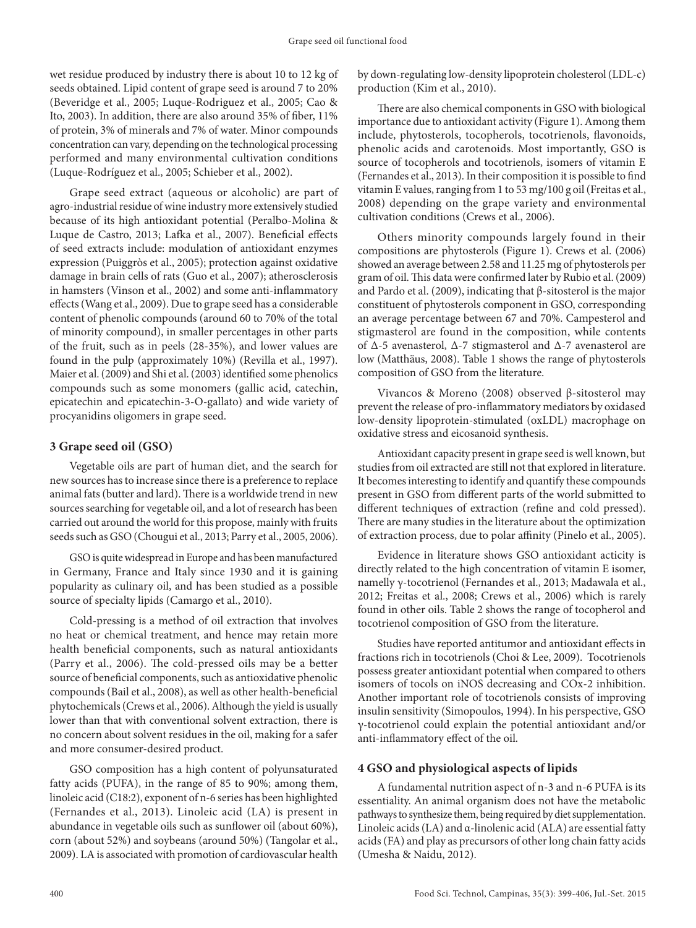wet residue produced by industry there is about 10 to 12 kg of seeds obtained. Lipid content of grape seed is around 7 to 20% (Beveridge et al., 2005; Luque-Rodriguez et al., 2005; Cao & Ito, 2003). In addition, there are also around 35% of fiber, 11% of protein, 3% of minerals and 7% of water. Minor compounds concentration can vary, depending on the technological processing performed and many environmental cultivation conditions (Luque-Rodríguez et al., 2005; Schieber et al., 2002).

Grape seed extract (aqueous or alcoholic) are part of agro-industrial residue of wine industry more extensively studied because of its high antioxidant potential (Peralbo-Molina & Luque de Castro, 2013; Lafka et al., 2007). Beneficial effects of seed extracts include: modulation of antioxidant enzymes expression (Puiggròs et al., 2005); protection against oxidative damage in brain cells of rats (Guo et al., 2007); atherosclerosis in hamsters (Vinson et al., 2002) and some anti-inflammatory effects (Wang et al., 2009). Due to grape seed has a considerable content of phenolic compounds (around 60 to 70% of the total of minority compound), in smaller percentages in other parts of the fruit, such as in peels (28-35%), and lower values are found in the pulp (approximately 10%) (Revilla et al., 1997). Maier et al. (2009) and Shi et al. (2003) identified some phenolics compounds such as some monomers (gallic acid, catechin, epicatechin and epicatechin-3-O-gallato) and wide variety of procyanidins oligomers in grape seed.

# **3 Grape seed oil (GSO)**

Vegetable oils are part of human diet, and the search for new sources has to increase since there is a preference to replace animal fats (butter and lard). There is a worldwide trend in new sources searching for vegetable oil, and a lot of research has been carried out around the world for this propose, mainly with fruits seeds such as GSO (Chougui et al., 2013; Parry et al., 2005, 2006).

GSO is quite widespread in Europe and has been manufactured in Germany, France and Italy since 1930 and it is gaining popularity as culinary oil, and has been studied as a possible source of specialty lipids (Camargo et al., 2010).

Cold-pressing is a method of oil extraction that involves no heat or chemical treatment, and hence may retain more health beneficial components, such as natural antioxidants (Parry et al., 2006). The cold-pressed oils may be a better source of beneficial components, such as antioxidative phenolic compounds (Bail et al., 2008), as well as other health-beneficial phytochemicals (Crews et al., 2006). Although the yield is usually lower than that with conventional solvent extraction, there is no concern about solvent residues in the oil, making for a safer and more consumer-desired product.

GSO composition has a high content of polyunsaturated fatty acids (PUFA), in the range of 85 to 90%; among them, linoleic acid (C18:2), exponent of n-6 series has been highlighted (Fernandes et al., 2013). Linoleic acid (LA) is present in abundance in vegetable oils such as sunflower oil (about 60%), corn (about 52%) and soybeans (around 50%) (Tangolar et al., 2009). LA is associated with promotion of cardiovascular health

by down-regulating low-density lipoprotein cholesterol (LDL-c) production (Kim et al., 2010).

There are also chemical components in GSO with biological importance due to antioxidant activity (Figure 1). Among them include, phytosterols, tocopherols, tocotrienols, flavonoids, phenolic acids and carotenoids. Most importantly, GSO is source of tocopherols and tocotrienols, isomers of vitamin E (Fernandes et al., 2013). In their composition it is possible to find vitamin E values, ranging from 1 to 53 mg/100 g oil (Freitas et al., 2008) depending on the grape variety and environmental cultivation conditions (Crews et al., 2006).

Others minority compounds largely found in their compositions are phytosterols (Figure 1). Crews et al. (2006) showed an average between 2.58 and 11.25 mg of phytosterols per gram of oil. This data were confirmed later by Rubio et al. (2009) and Pardo et al. (2009), indicating that β-sitosterol is the major constituent of phytosterols component in GSO, corresponding an average percentage between 67 and 70%. Campesterol and stigmasterol are found in the composition, while contents of  $\Delta$ -5 avenasterol,  $\Delta$ -7 stigmasterol and  $\Delta$ -7 avenasterol are low (Matthäus, 2008). Table 1 shows the range of phytosterols composition of GSO from the literature.

Vivancos & Moreno (2008) observed β-sitosterol may prevent the release of pro-inflammatory mediators by oxidased low-density lipoprotein-stimulated (oxLDL) macrophage on oxidative stress and eicosanoid synthesis.

Antioxidant capacity present in grape seed is well known, but studies from oil extracted are still not that explored in literature. It becomes interesting to identify and quantify these compounds present in GSO from different parts of the world submitted to different techniques of extraction (refine and cold pressed). There are many studies in the literature about the optimization of extraction process, due to polar affinity (Pinelo et al., 2005).

Evidence in literature shows GSO antioxidant acticity is directly related to the high concentration of vitamin E isomer, namelly γ-tocotrienol (Fernandes et al., 2013; Madawala et al., 2012; Freitas et al., 2008; Crews et al., 2006) which is rarely found in other oils. Table 2 shows the range of tocopherol and tocotrienol composition of GSO from the literature.

Studies have reported antitumor and antioxidant effects in fractions rich in tocotrienols (Choi & Lee, 2009). Tocotrienols possess greater antioxidant potential when compared to others isomers of tocols on iNOS decreasing and COx-2 inhibition. Another important role of tocotrienols consists of improving insulin sensitivity (Simopoulos, 1994). In his perspective, GSO γ-tocotrienol could explain the potential antioxidant and/or anti-inflammatory effect of the oil.

# **4 GSO and physiological aspects of lipids**

A fundamental nutrition aspect of n-3 and n-6 PUFA is its essentiality. An animal organism does not have the metabolic pathways to synthesize them, being required by diet supplementation. Linoleic acids (LA) and α-linolenic acid (ALA) are essential fatty acids (FA) and play as precursors of other long chain fatty acids (Umesha & Naidu, 2012).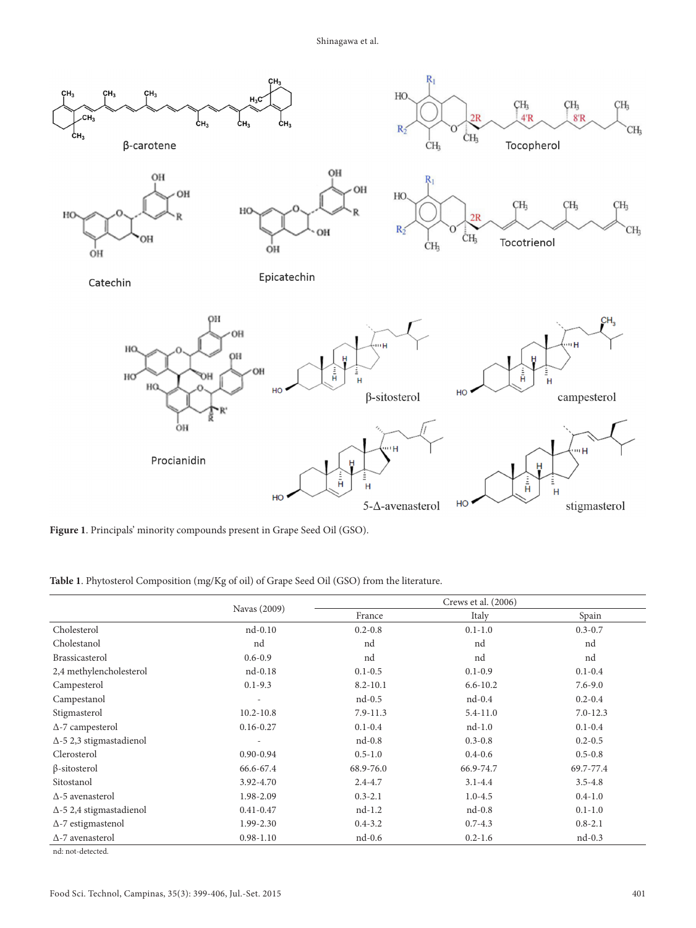Shinagawa et al.



**Figure 1**. Principals' minority compounds present in Grape Seed Oil (GSO).

**Table 1**. Phytosterol Composition (mg/Kg of oil) of Grape Seed Oil (GSO) from the literature.

|                                 | Navas (2009)   |              | Crews et al. (2006) |              |
|---------------------------------|----------------|--------------|---------------------|--------------|
|                                 |                | France       | Italy               | Spain        |
| Cholesterol                     | $nd-0.10$      | $0.2 - 0.8$  | $0.1 - 1.0$         | $0.3 - 0.7$  |
| Cholestanol                     | nd             | nd           | nd                  | nd           |
| Brassicasterol                  | $0.6 - 0.9$    | nd           | nd                  | nd           |
| 2,4 methylencholesterol         | $nd-0.18$      | $0.1 - 0.5$  | $0.1 - 0.9$         | $0.1 - 0.4$  |
| Campesterol                     | $0.1 - 9.3$    | $8.2 - 10.1$ | $6.6 - 10.2$        | $7.6 - 9.0$  |
| Campestanol                     | $\overline{a}$ | $nd-0.5$     | $nd-0.4$            | $0.2 - 0.4$  |
| Stigmasterol                    | $10.2 - 10.8$  | $7.9 - 11.3$ | $5.4 - 11.0$        | $7.0 - 12.3$ |
| $\Delta$ -7 campesterol         | $0.16 - 0.27$  | $0.1 - 0.4$  | $nd-1.0$            | $0.1 - 0.4$  |
| $\Delta$ -5 2,3 stigmastadienol | $\overline{a}$ | $nd-0.8$     | $0.3 - 0.8$         | $0.2 - 0.5$  |
| Clerosterol                     | $0.90 - 0.94$  | $0.5 - 1.0$  | $0.4 - 0.6$         | $0.5 - 0.8$  |
| $\beta$ -sitosterol             | 66.6-67.4      | 68.9-76.0    | 66.9-74.7           | 69.7-77.4    |
| Sitostanol                      | 3.92-4.70      | $2.4 - 4.7$  | $3.1 - 4.4$         | $3.5 - 4.8$  |
| $\Delta$ -5 avenasterol         | 1.98-2.09      | $0.3 - 2.1$  | $1.0 - 4.5$         | $0.4 - 1.0$  |
| $\Delta$ -5 2,4 stigmastadienol | $0.41 - 0.47$  | $nd-1.2$     | $nd-0.8$            | $0.1 - 1.0$  |
| $\Delta$ -7 estigmastenol       | 1.99-2.30      | $0.4 - 3.2$  | $0.7 - 4.3$         | $0.8 - 2.1$  |
| $\Delta$ -7 avenasterol         | $0.98 - 1.10$  | $nd-0.6$     | $0.2 - 1.6$         | $nd-0.3$     |
| nd: not-detected.               |                |              |                     |              |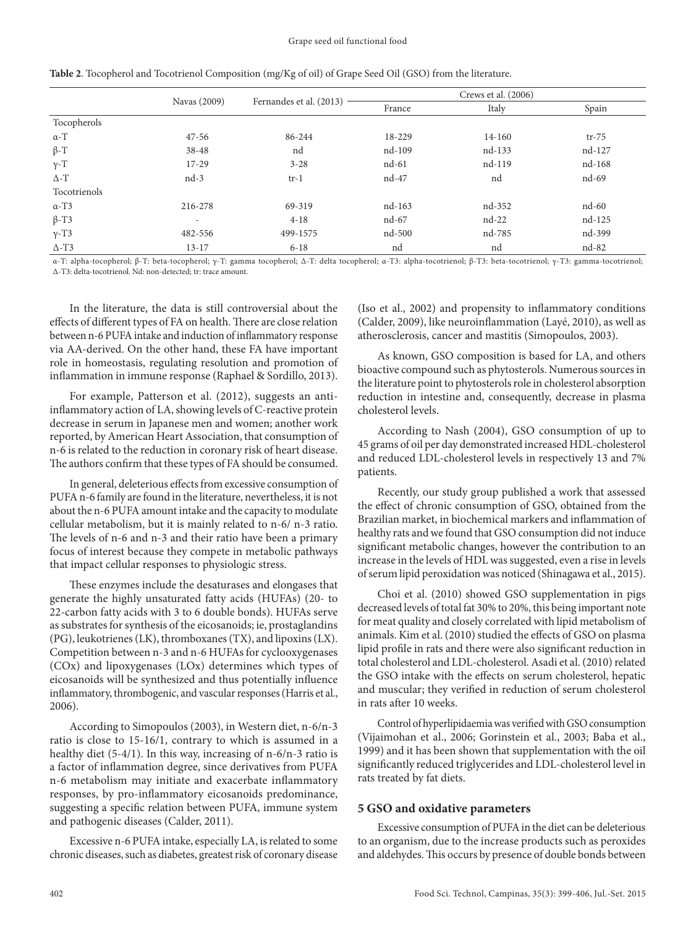|                 |                          | Fernandes et al. (2013) | Crews et al. (2006) |         |         |
|-----------------|--------------------------|-------------------------|---------------------|---------|---------|
|                 | Navas (2009)             |                         | France              | Italy   | Spain   |
| Tocopherols     |                          |                         |                     |         |         |
| $\alpha$ -T     | $47 - 56$                | 86-244                  | 18-229              | 14-160  | $tr-75$ |
| $\beta$ -T      | 38-48                    | nd                      | nd-109              | nd-133  | nd-127  |
| $\gamma$ -T     | 17-29                    | $3 - 28$                | nd-61               | nd-119  | nd-168  |
| $\Delta$ - T    | $nd-3$                   | $tr-1$                  | nd-47               | nd      | nd-69   |
| Tocotrienols    |                          |                         |                     |         |         |
| $\alpha$ -T3    | 216-278                  | 69-319                  | nd-163              | nd-352  | $nd-60$ |
| $\beta$ -T3     | $\overline{\phantom{a}}$ | $4 - 18$                | nd-67               | $nd-22$ | nd-125  |
| $\gamma$ -T3    | 482-556                  | 499-1575                | nd-500              | nd-785  | nd-399  |
| $\triangle$ -T3 | $13 - 17$                | $6 - 18$                | nd                  | nd      | nd-82   |

**Table 2**. Tocopherol and Tocotrienol Composition (mg/Kg of oil) of Grape Seed Oil (GSO) from the literature.

α-T: alpha-tocopherol; β-T: beta-tocopherol; γ-T: gamma tocopherol; Δ-T: delta tocopherol; α-T3: alpha-tocotrienol; β-T3: beta-tocotrienol; γ-T3: gamma-tocotrienol; Δ-T3: delta-tocotrienol. Nd: non-detected; tr: trace amount.

In the literature, the data is still controversial about the effects of different types of FA on health. There are close relation between n-6 PUFA intake and induction of inflammatory response via AA-derived. On the other hand, these FA have important role in homeostasis, regulating resolution and promotion of inflammation in immune response (Raphael & Sordillo, 2013).

For example, Patterson et al. (2012), suggests an antiinflammatory action of LA, showing levels of C-reactive protein decrease in serum in Japanese men and women; another work reported, by American Heart Association, that consumption of n-6 is related to the reduction in coronary risk of heart disease. The authors confirm that these types of FA should be consumed.

In general, deleterious effects from excessive consumption of PUFA n-6 family are found in the literature, nevertheless, it is not about the n-6 PUFA amount intake and the capacity to modulate cellular metabolism, but it is mainly related to n-6/ n-3 ratio. The levels of n-6 and n-3 and their ratio have been a primary focus of interest because they compete in metabolic pathways that impact cellular responses to physiologic stress.

These enzymes include the desaturases and elongases that generate the highly unsaturated fatty acids (HUFAs) (20- to 22-carbon fatty acids with 3 to 6 double bonds). HUFAs serve as substrates for synthesis of the eicosanoids; ie, prostaglandins (PG), leukotrienes (LK), thromboxanes (TX), and lipoxins (LX). Competition between n-3 and n-6 HUFAs for cyclooxygenases (COx) and lipoxygenases (LOx) determines which types of eicosanoids will be synthesized and thus potentially influence inflammatory, thrombogenic, and vascular responses (Harris et al., 2006).

According to Simopoulos (2003), in Western diet, n-6/n-3 ratio is close to 15-16/1, contrary to which is assumed in a healthy diet (5-4/1). In this way, increasing of n-6/n-3 ratio is a factor of inflammation degree, since derivatives from PUFA n-6 metabolism may initiate and exacerbate inflammatory responses, by pro-inflammatory eicosanoids predominance, suggesting a specific relation between PUFA, immune system and pathogenic diseases (Calder, 2011).

Excessive n-6 PUFA intake, especially LA, is related to some chronic diseases, such as diabetes, greatest risk of coronary disease (Iso et al., 2002) and propensity to inflammatory conditions (Calder, 2009), like neuroinflammation (Layé, 2010), as well as atherosclerosis, cancer and mastitis (Simopoulos, 2003).

As known, GSO composition is based for LA, and others bioactive compound such as phytosterols. Numerous sources in the literature point to phytosterols role in cholesterol absorption reduction in intestine and, consequently, decrease in plasma cholesterol levels.

According to Nash (2004), GSO consumption of up to 45 grams of oil per day demonstrated increased HDL-cholesterol and reduced LDL-cholesterol levels in respectively 13 and 7% patients.

Recently, our study group published a work that assessed the effect of chronic consumption of GSO, obtained from the Brazilian market, in biochemical markers and inflammation of healthy rats and we found that GSO consumption did not induce significant metabolic changes, however the contribution to an increase in the levels of HDL was suggested, even a rise in levels of serum lipid peroxidation was noticed (Shinagawa et al., 2015).

Choi et al. (2010) showed GSO supplementation in pigs decreased levels of total fat 30% to 20%, this being important note for meat quality and closely correlated with lipid metabolism of animals. Kim et al. (2010) studied the effects of GSO on plasma lipid profile in rats and there were also significant reduction in total cholesterol and LDL-cholesterol. Asadi et al. (2010) related the GSO intake with the effects on serum cholesterol, hepatic and muscular; they verified in reduction of serum cholesterol in rats after 10 weeks.

Control of hyperlipidaemia was verified with GSO consumption (Vijaimohan et al., 2006; Gorinstein et al., 2003; Baba et al., 1999) and it has been shown that supplementation with the oil significantly reduced triglycerides and LDL-cholesterol level in rats treated by fat diets.

#### **5 GSO and oxidative parameters**

Excessive consumption of PUFA in the diet can be deleterious to an organism, due to the increase products such as peroxides and aldehydes. This occurs by presence of double bonds between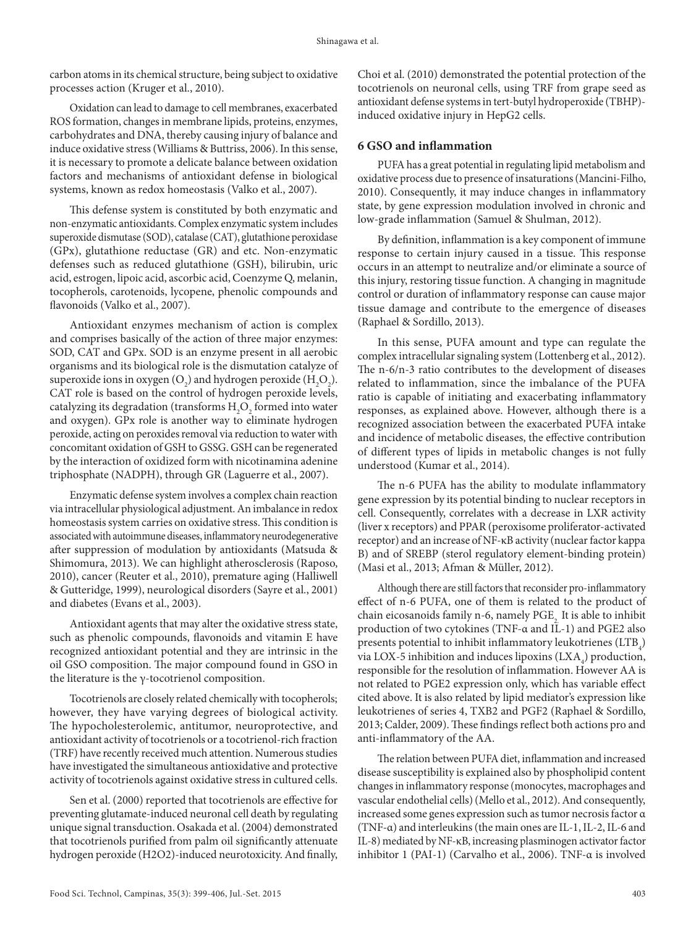carbon atoms in its chemical structure, being subject to oxidative processes action (Kruger et al., 2010).

Oxidation can lead to damage to cell membranes, exacerbated ROS formation, changes in membrane lipids, proteins, enzymes, carbohydrates and DNA, thereby causing injury of balance and induce oxidative stress (Williams & Buttriss, 2006). In this sense, it is necessary to promote a delicate balance between oxidation factors and mechanisms of antioxidant defense in biological systems, known as redox homeostasis (Valko et al., 2007).

This defense system is constituted by both enzymatic and non-enzymatic antioxidants. Complex enzymatic system includes superoxide dismutase (SOD), catalase (CAT), glutathione peroxidase (GPx), glutathione reductase (GR) and etc. Non-enzymatic defenses such as reduced glutathione (GSH), bilirubin, uric acid, estrogen, lipoic acid, ascorbic acid, Coenzyme Q, melanin, tocopherols, carotenoids, lycopene, phenolic compounds and flavonoids (Valko et al., 2007).

Antioxidant enzymes mechanism of action is complex and comprises basically of the action of three major enzymes: SOD, CAT and GPx. SOD is an enzyme present in all aerobic organisms and its biological role is the dismutation catalyze of superoxide ions in oxygen  $(O_2)$  and hydrogen peroxide  $(H_2O_2)$ . CAT role is based on the control of hydrogen peroxide levels, catalyzing its degradation (transforms  $\rm{H}_{2}\rm{O}_{2}$  formed into water and oxygen). GPx role is another way to eliminate hydrogen peroxide, acting on peroxides removal via reduction to water with concomitant oxidation of GSH to GSSG. GSH can be regenerated by the interaction of oxidized form with nicotinamina adenine triphosphate (NADPH), through GR (Laguerre et al., 2007).

Enzymatic defense system involves a complex chain reaction via intracellular physiological adjustment. An imbalance in redox homeostasis system carries on oxidative stress. This condition is associated with autoimmune diseases, inflammatory neurodegenerative after suppression of modulation by antioxidants (Matsuda & Shimomura, 2013). We can highlight atherosclerosis (Raposo, 2010), cancer (Reuter et al., 2010), premature aging (Halliwell & Gutteridge, 1999), neurological disorders (Sayre et al., 2001) and diabetes (Evans et al., 2003).

Antioxidant agents that may alter the oxidative stress state, such as phenolic compounds, flavonoids and vitamin E have recognized antioxidant potential and they are intrinsic in the oil GSO composition. The major compound found in GSO in the literature is the γ-tocotrienol composition.

Tocotrienols are closely related chemically with tocopherols; however, they have varying degrees of biological activity. The hypocholesterolemic, antitumor, neuroprotective, and antioxidant activity of tocotrienols or a tocotrienol-rich fraction (TRF) have recently received much attention. Numerous studies have investigated the simultaneous antioxidative and protective activity of tocotrienols against oxidative stress in cultured cells.

Sen et al. (2000) reported that tocotrienols are effective for preventing glutamate-induced neuronal cell death by regulating unique signal transduction. Osakada et al. (2004) demonstrated that tocotrienols purified from palm oil significantly attenuate hydrogen peroxide (H2O2)-induced neurotoxicity. And finally, Choi et al. (2010) demonstrated the potential protection of the tocotrienols on neuronal cells, using TRF from grape seed as antioxidant defense systems in tert-butyl hydroperoxide (TBHP) induced oxidative injury in HepG2 cells.

## **6 GSO and inflammation**

PUFA has a great potential in regulating lipid metabolism and oxidative process due to presence of insaturations (Mancini-Filho, 2010). Consequently, it may induce changes in inflammatory state, by gene expression modulation involved in chronic and low-grade inflammation (Samuel & Shulman, 2012).

By definition, inflammation is a key component of immune response to certain injury caused in a tissue. This response occurs in an attempt to neutralize and/or eliminate a source of this injury, restoring tissue function. A changing in magnitude control or duration of inflammatory response can cause major tissue damage and contribute to the emergence of diseases (Raphael & Sordillo, 2013).

In this sense, PUFA amount and type can regulate the complex intracellular signaling system (Lottenberg et al., 2012). The n-6/n-3 ratio contributes to the development of diseases related to inflammation, since the imbalance of the PUFA ratio is capable of initiating and exacerbating inflammatory responses, as explained above. However, although there is a recognized association between the exacerbated PUFA intake and incidence of metabolic diseases, the effective contribution of different types of lipids in metabolic changes is not fully understood (Kumar et al., 2014).

The n-6 PUFA has the ability to modulate inflammatory gene expression by its potential binding to nuclear receptors in cell. Consequently, correlates with a decrease in LXR activity (liver x receptors) and PPAR (peroxisome proliferator-activated receptor) and an increase of NF-κB activity (nuclear factor kappa B) and of SREBP (sterol regulatory element-binding protein) (Masi et al., 2013; Afman & Müller, 2012).

Although there are still factors that reconsider pro-inflammatory effect of n-6 PUFA, one of them is related to the product of chain eicosanoids family n-6, namely PGE<sub>2</sub>. It is able to inhibit production of two cytokines (TNF-α and IL-1) and PGE2 also presents potential to inhibit inflammatory leukotrienes  $(LTB<sub>4</sub>)$ via LOX-5 inhibition and induces lipoxins  $(LXA<sub>4</sub>)$  production, responsible for the resolution of inflammation. However AA is not related to PGE2 expression only, which has variable effect cited above. It is also related by lipid mediator's expression like leukotrienes of series 4, TXB2 and PGF2 (Raphael & Sordillo, 2013; Calder, 2009). These findings reflect both actions pro and anti-inflammatory of the AA.

The relation between PUFA diet, inflammation and increased disease susceptibility is explained also by phospholipid content changes in inflammatory response (monocytes, macrophages and vascular endothelial cells) (Mello et al., 2012). And consequently, increased some genes expression such as tumor necrosis factor α (TNF-α) and interleukins (the main ones are IL-1, IL-2, IL-6 and IL-8) mediated by NF-κB, increasing plasminogen activator factor inhibitor 1 (PAI-1) (Carvalho et al., 2006). TNF-α is involved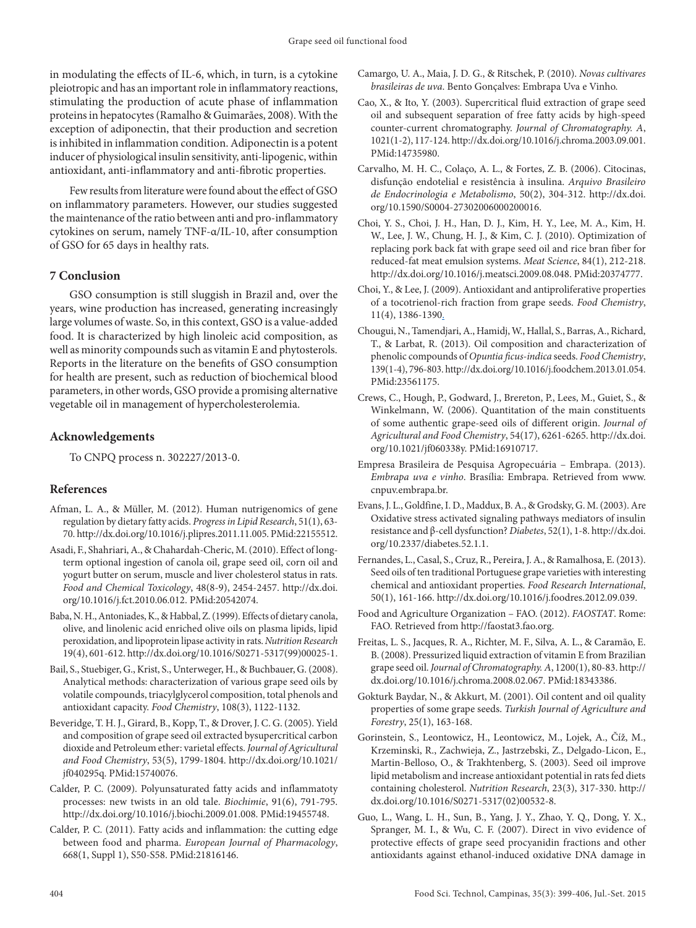in modulating the effects of IL-6, which, in turn, is a cytokine pleiotropic and has an important role in inflammatory reactions, stimulating the production of acute phase of inflammation proteins in hepatocytes (Ramalho & Guimarães, 2008). With the exception of adiponectin, that their production and secretion is inhibited in inflammation condition. Adiponectin is a potent inducer of physiological insulin sensitivity, anti-lipogenic, within antioxidant, anti-inflammatory and anti-fibrotic properties.

Few results from literature were found about the effect of GSO on inflammatory parameters. However, our studies suggested the maintenance of the ratio between anti and pro-inflammatory cytokines on serum, namely TNF-α/IL-10, after consumption of GSO for 65 days in healthy rats.

### **7 Conclusion**

GSO consumption is still sluggish in Brazil and, over the years, wine production has increased, generating increasingly large volumes of waste. So, in this context, GSO is a value-added food. It is characterized by high linoleic acid composition, as well as minority compounds such as vitamin E and phytosterols. Reports in the literature on the benefits of GSO consumption for health are present, such as reduction of biochemical blood parameters, in other words, GSO provide a promising alternative vegetable oil in management of hypercholesterolemia.

#### **Acknowledgements**

To CNPQ process n. 302227/2013-0.

#### **References**

- Afman, L. A., & Müller, M. (2012). Human nutrigenomics of gene regulation by dietary fatty acids. *Progress in Lipid Research*, 51(1), 63- 70.<http://dx.doi.org/10.1016/j.plipres.2011.11.005>[. PMid:22155512.](http://www.ncbi.nlm.nih.gov/entrez/query.fcgi?cmd=Retrieve&db=PubMed&list_uids=22155512&dopt=Abstract)
- Asadi, F., Shahriari, A., & Chahardah-Cheric, M. (2010). Effect of longterm optional ingestion of canola oil, grape seed oil, corn oil and yogurt butter on serum, muscle and liver cholesterol status in rats. *Food and Chemical Toxicology*, 48(8-9), 2454-2457. [http://dx.doi.](http://dx.doi.org/10.1016/j.fct.2010.06.012) [org/10.1016/j.fct.2010.06.012](http://dx.doi.org/10.1016/j.fct.2010.06.012)[. PMid:20542074.](http://www.ncbi.nlm.nih.gov/entrez/query.fcgi?cmd=Retrieve&db=PubMed&list_uids=20542074&dopt=Abstract)
- Baba, N. H., Antoniades, K., & Habbal, Z. (1999). Effects of dietary canola, olive, and linolenic acid enriched olive oils on plasma lipids, lipid peroxidation, and lipoprotein lipase activity in rats. *Nutrition Research* 19(4), 601-612. [http://dx.doi.org/10.1016/S0271-5317\(99\)00025-1](http://dx.doi.org/10.1016/S0271-5317(99)00025-1).
- Bail, S., Stuebiger, G., Krist, S., Unterweger, H., & Buchbauer, G. (2008). Analytical methods: characterization of various grape seed oils by volatile compounds, triacylglycerol composition, total phenols and antioxidant capacity. *Food Chemistry*, 108(3), 1122-1132.
- Beveridge, T. H. J., Girard, B., Kopp, T., & Drover, J. C. G. (2005). Yield and composition of grape seed oil extracted bysupercritical carbon dioxide and Petroleum ether: varietal effects. *Journal of Agricultural and Food Chemistry*, 53(5), 1799-1804. [http://dx.doi.org/10.1021/](http://dx.doi.org/10.1021/jf040295q) [jf040295q](http://dx.doi.org/10.1021/jf040295q)[. PMid:15740076.](http://www.ncbi.nlm.nih.gov/entrez/query.fcgi?cmd=Retrieve&db=PubMed&list_uids=15740076&dopt=Abstract)
- Calder, P. C. (2009). Polyunsaturated fatty acids and inflammatoty processes: new twists in an old tale. *Biochimie*, 91(6), 791-795. [http://dx.doi.org/10.1016/j.biochi.2009.01.008.](http://dx.doi.org/10.1016/j.biochi.2009.01.008) [PMid:19455748.](http://www.ncbi.nlm.nih.gov/entrez/query.fcgi?cmd=Retrieve&db=PubMed&list_uids=19455748&dopt=Abstract)
- Calder, P. C. (2011). Fatty acids and inflammation: the cutting edge between food and pharma. *European Journal of Pharmacology*, 668(1, Suppl 1), S50-S58[. PMid:21816146.](http://www.ncbi.nlm.nih.gov/entrez/query.fcgi?cmd=Retrieve&db=PubMed&list_uids=21816146&dopt=Abstract)
- Camargo, U. A., Maia, J. D. G., & Ritschek, P. (2010). *Novas cultivares brasileiras de uva*. Bento Gonçalves: Embrapa Uva e Vinho.
- Cao, X., & Ito, Y. (2003). Supercritical fluid extraction of grape seed oil and subsequent separation of free fatty acids by high-speed counter-current chromatography. *Journal of Chromatography. A*, 1021(1-2), 117-124. [http://dx.doi.org/10.1016/j.chroma.2003.09.001.](http://dx.doi.org/10.1016/j.chroma.2003.09.001) [PMid:14735980.](http://www.ncbi.nlm.nih.gov/entrez/query.fcgi?cmd=Retrieve&db=PubMed&list_uids=14735980&dopt=Abstract)
- Carvalho, M. H. C., Colaço, A. L., & Fortes, Z. B. (2006). Citocinas, disfunção endotelial e resistência à insulina. *Arquivo Brasileiro de Endocrinologia e Metabolismo*, 50(2), 304-312. http://dx.doi. org/10.1590/S0004-27302006000200016.
- Choi, Y. S., Choi, J. H., Han, D. J., Kim, H. Y., Lee, M. A., Kim, H. W., Lee, J. W., Chung, H. J., & Kim, C. J. (2010). Optimization of replacing pork back fat with grape seed oil and rice bran fiber for reduced-fat meat emulsion systems. *Meat Science*, 84(1), 212-218. <http://dx.doi.org/10.1016/j.meatsci.2009.08.048>[. PMid:20374777.](http://www.ncbi.nlm.nih.gov/entrez/query.fcgi?cmd=Retrieve&db=PubMed&list_uids=20374777&dopt=Abstract)
- Choi, Y., & Lee, J. (2009). Antioxidant and antiproliferative properties of a tocotrienol-rich fraction from grape seeds. *Food Chemistry*, 11(4), 1386-1390.
- Chougui, N., Tamendjari, A., Hamidj, W., Hallal, S., Barras, A., Richard, T., & Larbat, R. (2013). Oil composition and characterization of phenolic compounds of *Opuntia ficus-indica* seeds. *Food Chemistry*, 139(1-4), 796-803. [http://dx.doi.org/10.1016/j.foodchem.2013.01.054.](http://dx.doi.org/10.1016/j.foodchem.2013.01.054) [PMid:23561175.](http://www.ncbi.nlm.nih.gov/entrez/query.fcgi?cmd=Retrieve&db=PubMed&list_uids=23561175&dopt=Abstract)
- Crews, C., Hough, P., Godward, J., Brereton, P., Lees, M., Guiet, S., & Winkelmann, W. (2006). Quantitation of the main constituents of some authentic grape-seed oils of different origin. *Journal of Agricultural and Food Chemistry*, 54(17), 6261-6265. [http://dx.doi.](http://dx.doi.org/10.1021/jf060338y) [org/10.1021/jf060338y.](http://dx.doi.org/10.1021/jf060338y) [PMid:16910717.](http://www.ncbi.nlm.nih.gov/entrez/query.fcgi?cmd=Retrieve&db=PubMed&list_uids=16910717&dopt=Abstract)
- Empresa Brasileira de Pesquisa Agropecuária Embrapa. (2013). *Embrapa uva e vinho*. Brasília: Embrapa. Retrieved from www. cnpuv.embrapa.br.
- Evans, J. L., Goldfine, I. D., Maddux, B. A., & Grodsky, G. M. (2003). Are Oxidative stress activated signaling pathways mediators of insulin resistance and β-cell dysfunction? *Diabetes*, 52(1), 1-8. http://dx.doi. org/10.2337/diabetes.52.1.1.
- Fernandes, L., Casal, S., Cruz, R., Pereira, J. A., & Ramalhosa, E. (2013). Seed oils of ten traditional Portuguese grape varieties with interesting chemical and antioxidant properties. *Food Research International*, 50(1), 161-166. [http://dx.doi.org/10.1016/j.foodres.2012.09.039.](http://dx.doi.org/10.1016/j.foodres.2012.09.039)
- Food and Agriculture Organization FAO. (2012). *FAOSTAT*. Rome: FAO. Retrieved from http://faostat3.fao.org.
- Freitas, L. S., Jacques, R. A., Richter, M. F., Silva, A. L., & Caramão, E. B. (2008). Pressurized liquid extraction of vitamin E from Brazilian grape seed oil. *Journal of Chromatography. A*, 1200(1), 80-83. [http://](http://dx.doi.org/10.1016/j.chroma.2008.02.067) [dx.doi.org/10.1016/j.chroma.2008.02.067.](http://dx.doi.org/10.1016/j.chroma.2008.02.067) [PMid:18343386.](http://www.ncbi.nlm.nih.gov/entrez/query.fcgi?cmd=Retrieve&db=PubMed&list_uids=18343386&dopt=Abstract)
- Gokturk Baydar, N., & Akkurt, M. (2001). Oil content and oil quality properties of some grape seeds. *Turkish Journal of Agriculture and Forestry*, 25(1), 163-168.
- Gorinstein, S., Leontowicz, H., Leontowicz, M., Lojek, A., Číž, M., Krzeminski, R., Zachwieja, Z., Jastrzebski, Z., Delgado-Licon, E., Martin-Belloso, O., & Trakhtenberg, S. (2003). Seed oil improve lipid metabolism and increase antioxidant potential in rats fed diets containing cholesterol. *Nutrition Research*, 23(3), 317-330. [http://](http://dx.doi.org/10.1016/S0271-5317(02)00532-8) [dx.doi.org/10.1016/S0271-5317\(02\)00532-8](http://dx.doi.org/10.1016/S0271-5317(02)00532-8).
- Guo, L., Wang, L. H., Sun, B., Yang, J. Y., Zhao, Y. Q., Dong, Y. X., Spranger, M. I., & Wu, C. F. (2007). Direct in vivo evidence of protective effects of grape seed procyanidin fractions and other antioxidants against ethanol-induced oxidative DNA damage in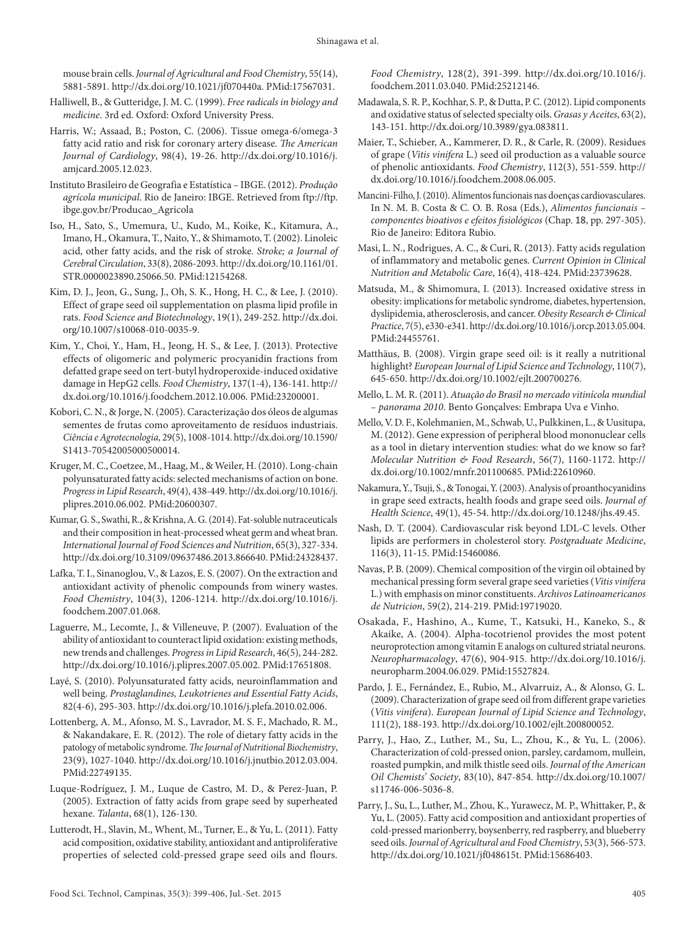mouse brain cells. *Journal of Agricultural and Food Chemistry*, 55(14), 5881-5891. [http://dx.doi.org/10.1021/jf070440a.](http://dx.doi.org/10.1021/jf070440a) [PMid:17567031.](http://www.ncbi.nlm.nih.gov/entrez/query.fcgi?cmd=Retrieve&db=PubMed&list_uids=17567031&dopt=Abstract)

- Halliwell, B., & Gutteridge, J. M. C. (1999). *Free radicals in biology and medicine*. 3rd ed. Oxford: Oxford University Press.
- Harris, W.; Assaad, B.; Poston, C. (2006). Tissue omega-6/omega-3 fatty acid ratio and risk for coronary artery disease. *The American Journal of Cardiology*, 98(4), 19-26. http://dx.doi.org/10.1016/j. amjcard.2005.12.023.
- Instituto Brasileiro de Geografia e Estatística IBGE. (2012). *Produção agrícola municipal*. Rio de Janeiro: IBGE. Retrieved from ftp://ftp. ibge.gov.br/Producao\_Agricola
- Iso, H., Sato, S., Umemura, U., Kudo, M., Koike, K., Kitamura, A., Imano, H., Okamura, T., Naito, Y., & Shimamoto, T. (2002). Linoleic acid, other fatty acids, and the risk of stroke. *Stroke; a Journal of Cerebral Circulation*, 33(8), 2086-2093. [http://dx.doi.org/10.1161/01.](http://dx.doi.org/10.1161/01.STR.0000023890.25066.50) [STR.0000023890.25066.50.](http://dx.doi.org/10.1161/01.STR.0000023890.25066.50) [PMid:12154268.](http://www.ncbi.nlm.nih.gov/entrez/query.fcgi?cmd=Retrieve&db=PubMed&list_uids=12154268&dopt=Abstract)
- Kim, D. J., Jeon, G., Sung, J., Oh, S. K., Hong, H. C., & Lee, J. (2010). Effect of grape seed oil supplementation on plasma lipid profile in rats. *Food Science and Biotechnology*, 19(1), 249-252. [http://dx.doi.](http://dx.doi.org/10.1007/s10068-010-0035-9) [org/10.1007/s10068-010-0035-9.](http://dx.doi.org/10.1007/s10068-010-0035-9)
- Kim, Y., Choi, Y., Ham, H., Jeong, H. S., & Lee, J. (2013). Protective effects of oligomeric and polymeric procyanidin fractions from defatted grape seed on tert-butyl hydroperoxide-induced oxidative damage in HepG2 cells. *Food Chemistry*, 137(1-4), 136-141. [http://](http://dx.doi.org/10.1016/j.foodchem.2012.10.006) [dx.doi.org/10.1016/j.foodchem.2012.10.006](http://dx.doi.org/10.1016/j.foodchem.2012.10.006)[. PMid:23200001.](http://www.ncbi.nlm.nih.gov/entrez/query.fcgi?cmd=Retrieve&db=PubMed&list_uids=23200001&dopt=Abstract)
- Kobori, C. N., & Jorge, N. (2005). Caracterização dos óleos de algumas sementes de frutas como aproveitamento de resíduos industriais. *Ciência e Agrotecnologia*, 29(5), 1008-1014. [http://dx.doi.org/10.1590/](http://dx.doi.org/10.1590/S1413-70542005000500014) [S1413-70542005000500014](http://dx.doi.org/10.1590/S1413-70542005000500014).
- Kruger, M. C., Coetzee, M., Haag, M., & Weiler, H. (2010). Long-chain polyunsaturated fatty acids: selected mechanisms of action on bone. *Progress in Lipid Research*, 49(4), 438-449. [http://dx.doi.org/10.1016/j.](http://dx.doi.org/10.1016/j.plipres.2010.06.002) [plipres.2010.06.002](http://dx.doi.org/10.1016/j.plipres.2010.06.002)[. PMid:20600307.](http://www.ncbi.nlm.nih.gov/entrez/query.fcgi?cmd=Retrieve&db=PubMed&list_uids=20600307&dopt=Abstract)
- Kumar, G. S., Swathi, R., & Krishna, A. G. (2014). Fat-soluble nutraceuticals and their composition in heat-processed wheat germ and wheat bran. *International Journal of Food Sciences and Nutrition*, 65(3), 327-334. <http://dx.doi.org/10.3109/09637486.2013.866640>[. PMid:24328437.](http://www.ncbi.nlm.nih.gov/entrez/query.fcgi?cmd=Retrieve&db=PubMed&list_uids=24328437&dopt=Abstract)
- Lafka, T. I., Sinanoglou, V., & Lazos, E. S. (2007). On the extraction and antioxidant activity of phenolic compounds from winery wastes. *Food Chemistry*, 104(3), 1206-1214. [http://dx.doi.org/10.1016/j.](http://dx.doi.org/10.1016/j.foodchem.2007.01.068) [foodchem.2007.01.068](http://dx.doi.org/10.1016/j.foodchem.2007.01.068).
- Laguerre, M., Lecomte, J., & Villeneuve, P. (2007). Evaluation of the ability of antioxidant to counteract lipid oxidation: existing methods, new trends and challenges. *Progress in Lipid Research*, 46(5), 244-282. [http://dx.doi.org/10.1016/j.plipres.2007.05.002.](http://dx.doi.org/10.1016/j.plipres.2007.05.002) [PMid:17651808.](http://www.ncbi.nlm.nih.gov/entrez/query.fcgi?cmd=Retrieve&db=PubMed&list_uids=17651808&dopt=Abstract)
- Layé, S. (2010). Polyunsaturated fatty acids, neuroinflammation and well being. *Prostaglandines, Leukotrienes and Essential Fatty Acids*, 82(4-6), 295-303. [http://dx.doi.org/10.1016/j.plefa.2010.02.006.](http://dx.doi.org/10.1016/j.plefa.2010.02.006)
- Lottenberg, A. M., Afonso, M. S., Lavrador, M. S. F., Machado, R. M., & Nakandakare, E. R. (2012). The role of dietary fatty acids in the patology of metabolic syndrome. *The Journal of Nutritional Biochemistry*, 23(9), 1027-1040. <http://dx.doi.org/10.1016/j.jnutbio.2012.03.004>. [PMid:22749135.](http://www.ncbi.nlm.nih.gov/entrez/query.fcgi?cmd=Retrieve&db=PubMed&list_uids=22749135&dopt=Abstract)
- Luque-Rodríguez, J. M., Luque de Castro, M. D., & Perez-Juan, P. (2005). Extraction of fatty acids from grape seed by superheated hexane. *Talanta*, 68(1), 126-130.
- Lutterodt, H., Slavin, M., Whent, M., Turner, E., & Yu, L. (2011). Fatty acid composition, oxidative stability, antioxidant and antiproliferative properties of selected cold-pressed grape seed oils and flours.

*Food Chemistry*, 128(2), 391-399. [http://dx.doi.org/10.1016/j.](http://dx.doi.org/10.1016/j.foodchem.2011.03.040) [foodchem.2011.03.040.](http://dx.doi.org/10.1016/j.foodchem.2011.03.040) [PMid:25212146.](http://www.ncbi.nlm.nih.gov/entrez/query.fcgi?cmd=Retrieve&db=PubMed&list_uids=25212146&dopt=Abstract)

- Madawala, S. R. P., Kochhar, S. P., & Dutta, P. C. (2012). Lipid components and oxidative status of selected specialty oils. *Grasas y Aceites*, 63(2), 143-151. <http://dx.doi.org/10.3989/gya.083811>.
- Maier, T., Schieber, A., Kammerer, D. R., & Carle, R. (2009). Residues of grape (*Vitis vinifera* L.) seed oil production as a valuable source of phenolic antioxidants. *Food Chemistry*, 112(3), 551-559. [http://](http://dx.doi.org/10.1016/j.foodchem.2008.06.005) [dx.doi.org/10.1016/j.foodchem.2008.06.005.](http://dx.doi.org/10.1016/j.foodchem.2008.06.005)
- Mancini-Filho, J. (2010). Alimentos funcionais nas doenças cardiovasculares. In N. M. B. Costa & C. O. B. Rosa (Eds.), *Alimentos funcionais – componentes bioativos e efeitos fisiológicos* (Chap. 18, pp. 297-305). Rio de Janeiro: Editora Rubio.
- Masi, L. N., Rodrigues, A. C., & Curi, R. (2013). Fatty acids regulation of inflammatory and metabolic genes. *Current Opinion in Clinical Nutrition and Metabolic Care*, 16(4), 418-424[. PMid:23739628.](http://www.ncbi.nlm.nih.gov/entrez/query.fcgi?cmd=Retrieve&db=PubMed&list_uids=23739628&dopt=Abstract)
- Matsuda, M., & Shimomura, I. (2013). Increased oxidative stress in obesity: implications for metabolic syndrome, diabetes, hypertension, dyslipidemia, atherosclerosis, and cancer. *Obesity Research & Clinical Practice*, 7(5), e330-e341. [http://dx.doi.org/10.1016/j.orcp.2013.05.004.](http://dx.doi.org/10.1016/j.orcp.2013.05.004) [PMid:24455761.](http://www.ncbi.nlm.nih.gov/entrez/query.fcgi?cmd=Retrieve&db=PubMed&list_uids=24455761&dopt=Abstract)
- Matthäus, B. (2008). Virgin grape seed oil: is it really a nutritional highlight? *European Journal of Lipid Science and Technology*, 110(7), 645-650. [http://dx.doi.org/10.1002/ejlt.200700276.](http://dx.doi.org/10.1002/ejlt.200700276)
- Mello, L. M. R. (2011). *Atuação do Brasil no mercado vitinícola mundial – panorama 2010*. Bento Gonçalves: Embrapa Uva e Vinho.
- Mello, V. D. F., Kolehmanien, M., Schwab, U., Pulkkinen, L., & Uusitupa, M. (2012). Gene expression of peripheral blood mononuclear cells as a tool in dietary intervention studies: what do we know so far? *Molecular Nutrition & Food Research*, 56(7), 1160-1172. [http://](http://dx.doi.org/10.1002/mnfr.201100685) [dx.doi.org/10.1002/mnfr.201100685.](http://dx.doi.org/10.1002/mnfr.201100685) [PMid:22610960.](http://www.ncbi.nlm.nih.gov/entrez/query.fcgi?cmd=Retrieve&db=PubMed&list_uids=22610960&dopt=Abstract)
- Nakamura, Y., Tsuji, S., & Tonogai, Y. (2003). Analysis of proanthocyanidins in grape seed extracts, health foods and grape seed oils. *Journal of Health Science*, 49(1), 45-54. [http://dx.doi.org/10.1248/jhs.49.45.](http://dx.doi.org/10.1248/jhs.49.45)
- Nash, D. T. (2004). Cardiovascular risk beyond LDL-C levels. Other lipids are performers in cholesterol story. *Postgraduate Medicine*, 116(3), 11-15. [PMid:15460086.](http://www.ncbi.nlm.nih.gov/entrez/query.fcgi?cmd=Retrieve&db=PubMed&list_uids=15460086&dopt=Abstract)
- Navas, P. B. (2009). Chemical composition of the virgin oil obtained by mechanical pressing form several grape seed varieties (*Vitis vinífera* L.) with emphasis on minor constituents. *Archivos Latinoamericanos de Nutricion*, 59(2), 214-219[. PMid:19719020.](http://www.ncbi.nlm.nih.gov/entrez/query.fcgi?cmd=Retrieve&db=PubMed&list_uids=19719020&dopt=Abstract)
- Osakada, F., Hashino, A., Kume, T., Katsuki, H., Kaneko, S., & Akaike, A. (2004). Alpha-tocotrienol provides the most potent neuroprotection among vitamin E analogs on cultured striatal neurons. *Neuropharmacology*, 47(6), 904-915. [http://dx.doi.org/10.1016/j.](http://dx.doi.org/10.1016/j.neuropharm.2004.06.029) [neuropharm.2004.06.029.](http://dx.doi.org/10.1016/j.neuropharm.2004.06.029) [PMid:15527824.](http://www.ncbi.nlm.nih.gov/entrez/query.fcgi?cmd=Retrieve&db=PubMed&list_uids=15527824&dopt=Abstract)
- Pardo, J. E., Fernández, E., Rubio, M., Alvarruiz, A., & Alonso, G. L. (2009). Characterization of grape seed oil from different grape varieties (*Vitis vinifera*). *European Journal of Lipid Science and Technology*, 111(2), 188-193. [http://dx.doi.org/10.1002/ejlt.200800052.](http://dx.doi.org/10.1002/ejlt.200800052)
- Parry, J., Hao, Z., Luther, M., Su, L., Zhou, K., & Yu, L. (2006). Characterization of cold-pressed onion, parsley, cardamom, mullein, roasted pumpkin, and milk thistle seed oils. *Journal of the American Oil Chemists' Society*, 83(10), 847-854. [http://dx.doi.org/10.1007/](http://dx.doi.org/10.1007/s11746-006-5036-8) [s11746-006-5036-8.](http://dx.doi.org/10.1007/s11746-006-5036-8)
- Parry, J., Su, L., Luther, M., Zhou, K., Yurawecz, M. P., Whittaker, P., & Yu, L. (2005). Fatty acid composition and antioxidant properties of cold-pressed marionberry, boysenberry, red raspberry, and blueberry seed oils. *Journal of Agricultural and Food Chemistry*, 53(3), 566-573. <http://dx.doi.org/10.1021/jf048615t>[. PMid:15686403.](http://www.ncbi.nlm.nih.gov/entrez/query.fcgi?cmd=Retrieve&db=PubMed&list_uids=15686403&dopt=Abstract)